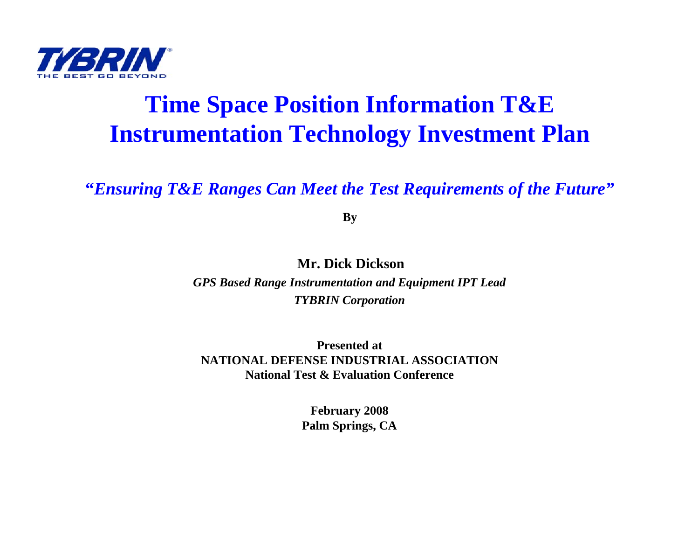

#### **Time Space Position Information T&E Instrumentation Technology Investment Plan**

#### **"***Ensuring T&E Ranges Can Meet the Test Requirements of the Future"*

**By**

**Mr. Dick Dickson**

*GPS Based Range Instrumentation and Equipment IPT Lead TYBRIN Corporation*

**Presented atNATIONAL DEFENSE INDUSTRIAL ASSOCIATIONNational Test & Evaluation Conference**

> **February 2008 Palm Springs, CA**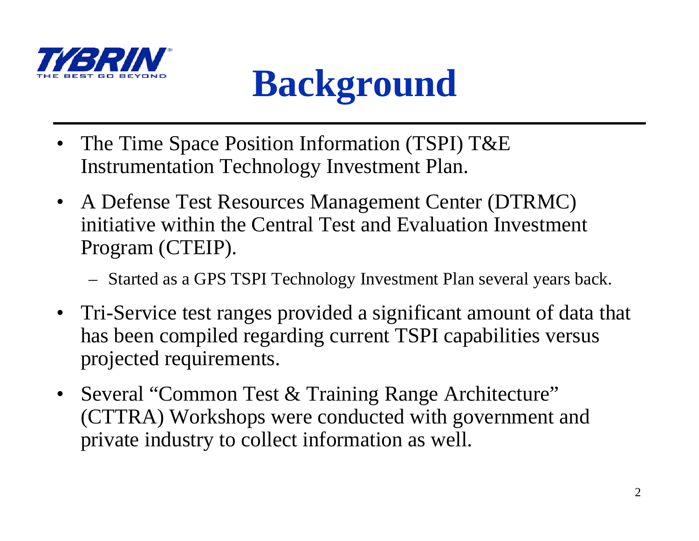

### **Background**

- The Time Space Position Information (TSPI) T&E Instrumentation Technology Investment Plan.
- A Defense Test Resources Management Center (DTRMC) initiative within the Central Test and Evaluation Investment Program (CTEIP).
	- Started as a GPS TSPI Technology Investment Plan several years back.
- Tri-Service test ranges provided a significant amount of data that has been compiled regarding current TSPI capabilities versus projected requirements.
- Several "Common Test & Training Range Architecture" (CTTRA) Workshops were conducted with government and private industry to collect information as well.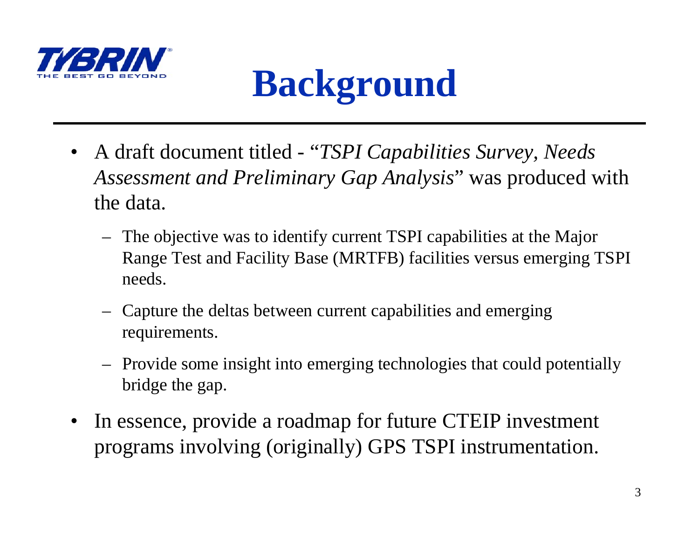



- $\bullet$  A draft document titled - "*TSPI Capabilities Survey, Needs Assessment and Preliminary Gap Analysis*" was produced with the data.
	- The objective was to identify current TSPI capabilities at the Major Range Test and Facility Base (MRTFB) facilities versus emerging TSPI needs.
	- Capture the deltas between current capabilities and emerging requirements.
	- Provide some insight into emerging technologies that could potentially bridge the gap.
- • In essence, provide a roadmap for future CTEIP investment programs involving (originally) GPS TSPI instrumentation.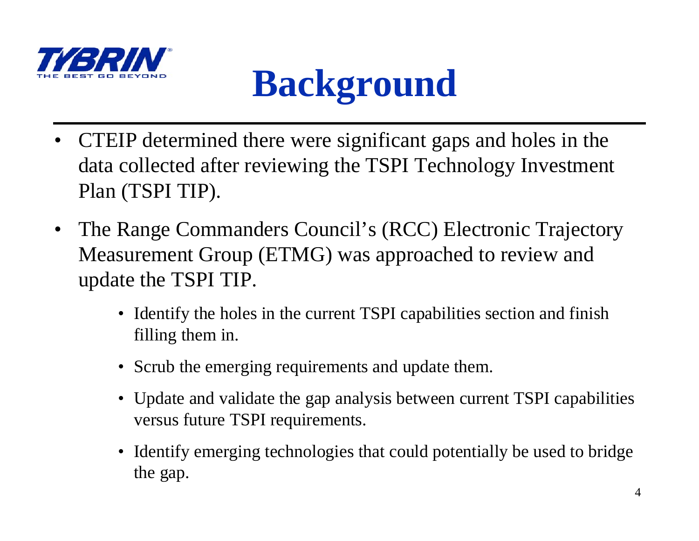

### **Background**

- CTEIP determined there were significant gaps and holes in the data collected after reviewing the TSPI Technology Investment Plan (TSPI TIP).
- • The Range Commanders Council's (RCC) Electronic Trajectory Measurement Group (ETMG) was approached to review and update the TSPI TIP.
	- Identify the holes in the current TSPI capabilities section and finish filling them in.
	- Scrub the emerging requirements and update them.
	- Update and validate the gap analysis between current TSPI capabilities versus future TSPI requirements.
	- • Identify emerging technologies that could potentially be used to bridge the gap.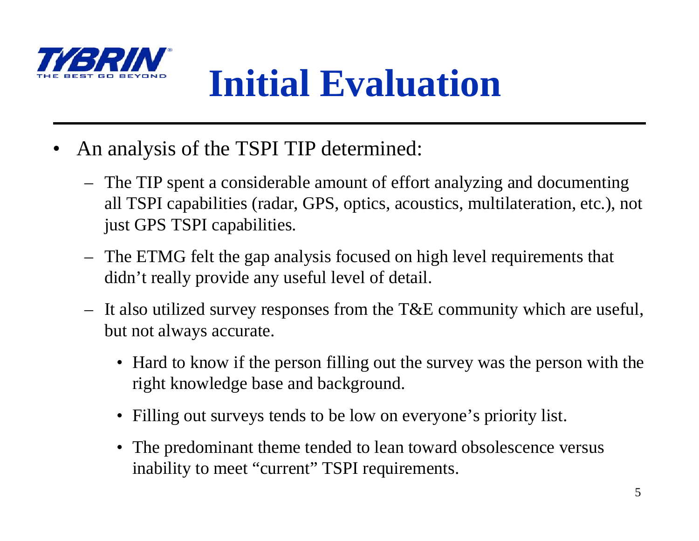

### **Initial Evaluation**

- • An analysis of the TSPI TIP determined:
	- The TIP spent a considerable amount of effort analyzing and documenting all TSPI capabilities (radar, GPS, optics, acoustics, multilateration, etc.), not just GPS TSPI capabilities.
	- The ETMG felt the gap analysis focused on high level requirements that didn't really provide any useful level of detail.
	- It also utilized survey responses from the T&E community which are useful, but not always accurate.
		- Hard to know if the person filling out the survey was the person with the right knowledge base and background.
		- •Filling out surveys tends to be low on everyone's priority list.
		- The predominant theme tended to lean toward obsolescence versus inability to meet "current" TSPI requirements.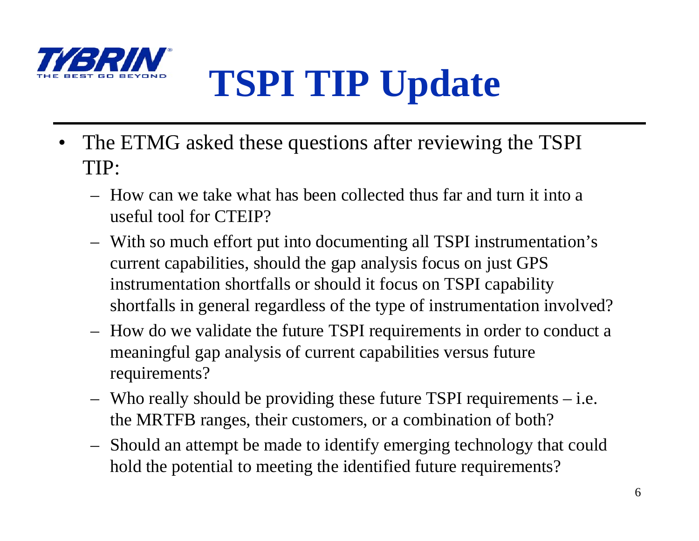

# **TSPI TIP Update**

- • The ETMG asked these questions after reviewing the TSPI TIP:
	- How can we take what has been collected thus far and turn it into a useful tool for CTEIP?
	- With so much effort put into documenting all TSPI instrumentation's current capabilities, should the gap analysis focus on just GPS instrumentation shortfalls or should it focus on TSPI capability shortfalls in general regardless of the type of instrumentation involved?
	- How do we validate the future TSPI requirements in order to conduct a meaningful gap analysis of current capabilities versus future requirements?
	- Who really should be providing these future TSPI requirements i.e. the MRTFB ranges, their customers, or a combination of both?
	- Should an attempt be made to identify emerging technology that could hold the potential to meeting the identified future requirements?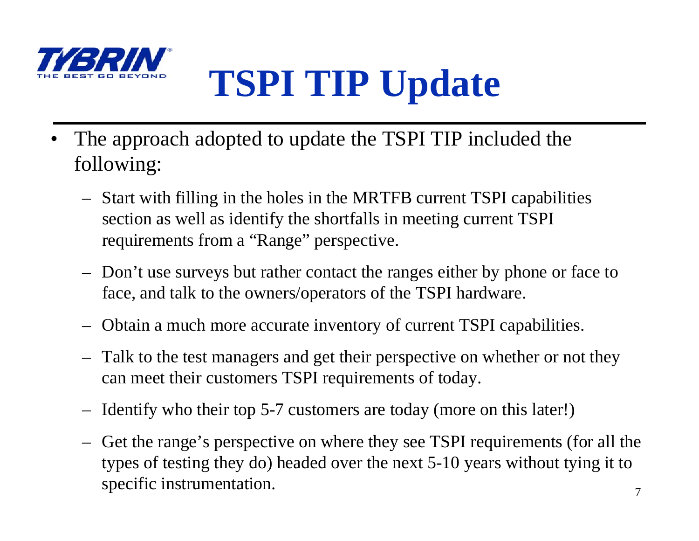

### **TSPI TIP Update**

- • The approach adopted to update the TSPI TIP included the following:
	- Start with filling in the holes in the MRTFB current TSPI capabilities section as well as identify the shortfalls in meeting current TSPI requirements from a "Range" perspective.
	- – Don't use surveys but rather contact the ranges either by phone or face to face, and talk to the owners/operators of the TSPI hardware.
	- Obtain a much more accurate inventory of current TSPI capabilities.
	- – Talk to the test managers and get their perspective on whether or not they can meet their customers TSPI requirements of today.
	- –Identify who their top 5-7 customers are today (more on this later!)
	- – Get the range's perspective on where they see TSPI requirements (for all the types of testing they do) headed over the next 5-10 years without tying it to specific instrumentation.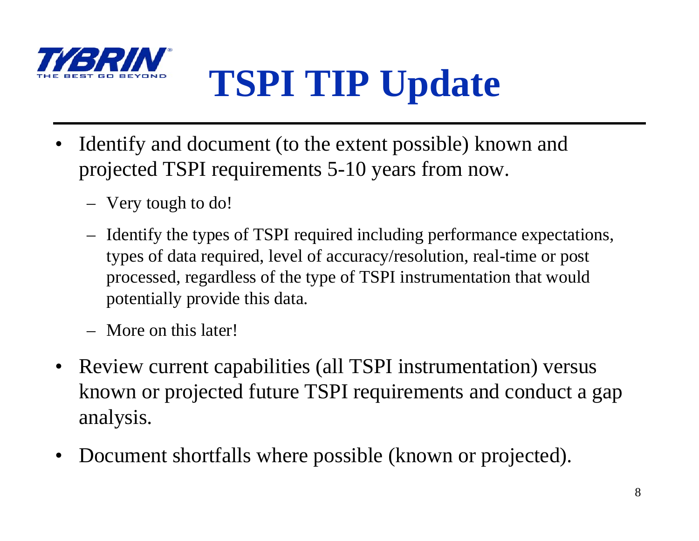

# **TSPI TIP Update**

- • Identify and document (to the extent possible) known and projected TSPI requirements 5-10 years from now.
	- Very tough to do!
	- Identify the types of TSPI required including performance expectations, types of data required, level of accuracy/resolution, real-time or post processed, regardless of the type of TSPI instrumentation that would potentially provide this data.
	- More on this later!
- Review current capabilities (all TSPI instrumentation) versus known or projected future TSPI requirements and conduct a gap analysis.
- •Document shortfalls where possible (known or projected).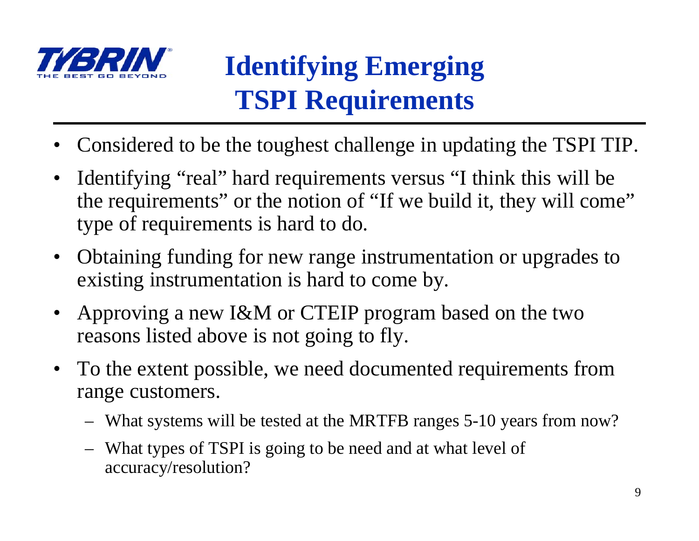

- •Considered to be the toughest challenge in updating the TSPI TIP.
- • Identifying "real" hard requirements versus "I think this will be the requirements" or the notion of "If we build it, they will come" type of requirements is hard to do.
- Obtaining funding for new range instrumentation or upgrades to existing instrumentation is hard to come by.
- • Approving a new I&M or CTEIP program based on the two reasons listed above is not going to fly.
- $\bullet$  To the extent possible, we need documented requirements from range customers.
	- What systems will be tested at the MRTFB ranges 5-10 years from now?
	- What types of TSPI is going to be need and at what level of accuracy/resolution?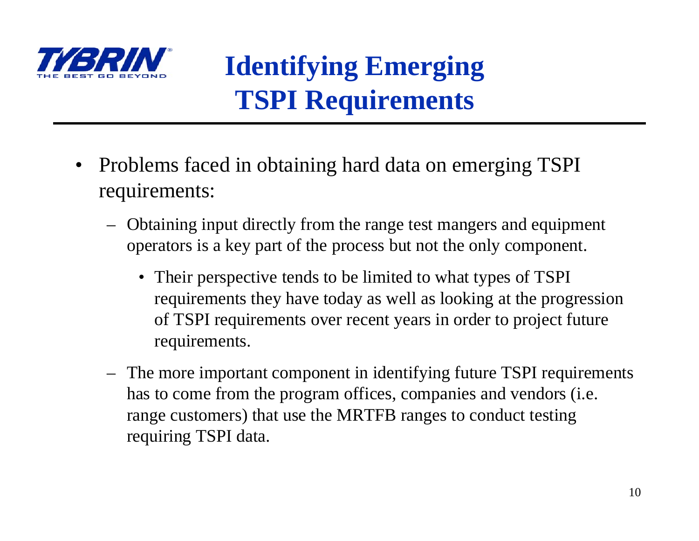

- • Problems faced in obtaining hard data on emerging TSPI requirements:
	- Obtaining input directly from the range test mangers and equipment operators is a key part of the process but not the only component.
		- Their perspective tends to be limited to what types of TSPI requirements they have today as well as looking at the progression of TSPI requirements over recent years in order to project future requirements.
	- The more important component in identifying future TSPI requirements has to come from the program offices, companies and vendors (i.e. range customers) that use the MRTFB ranges to conduct testing requiring TSPI data.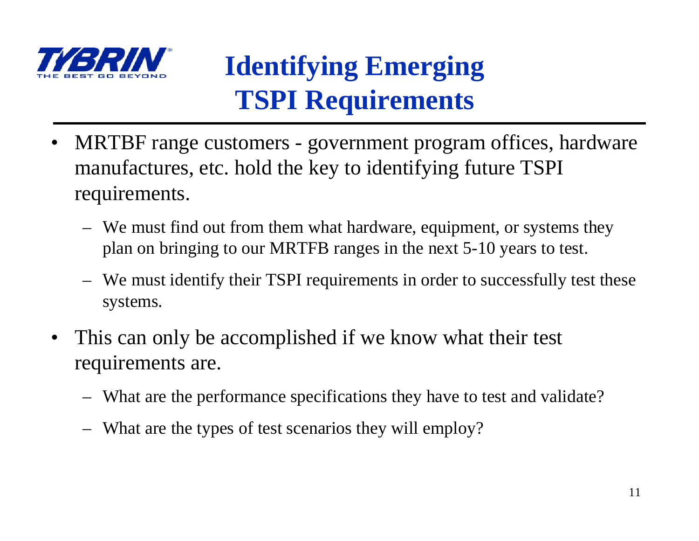

- • MRTBF range customers - government program offices, hardware manufactures, etc. hold the key to identifying future TSPI requirements.
	- We must find out from them what hardware, equipment, or systems they plan on bringing to our MRTFB ranges in the next 5-10 years to test.
	- We must identify their TSPI requirements in order to successfully test these systems.
- • This can only be accomplished if we know what their test requirements are.
	- What are the performance specifications they have to test and validate?
	- What are the types of test scenarios they will employ?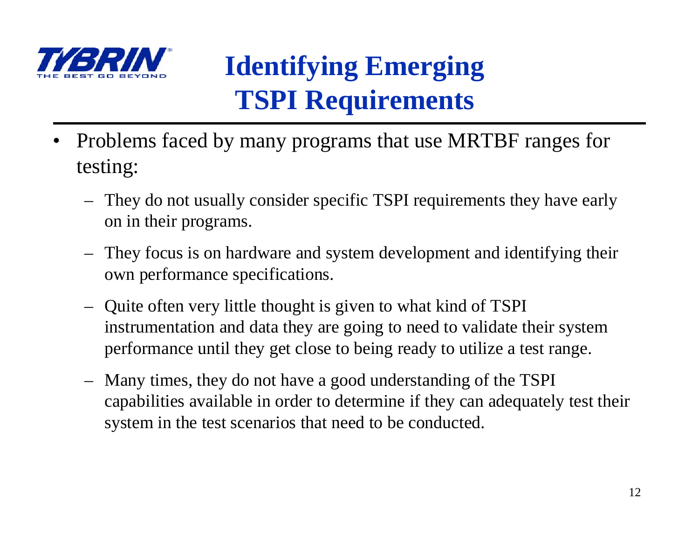

- • Problems faced by many programs that use MRTBF ranges for testing:
	- They do not usually consider specific TSPI requirements they have early on in their programs.
	- They focus is on hardware and system development and identifying their own performance specifications.
	- Quite often very little thought is given to what kind of TSPI instrumentation and data they are going to need to validate their system performance until they get close to being ready to utilize a test range.
	- Many times, they do not have a good understanding of the TSPI capabilities available in order to determine if they can adequately test their system in the test scenarios that need to be conducted.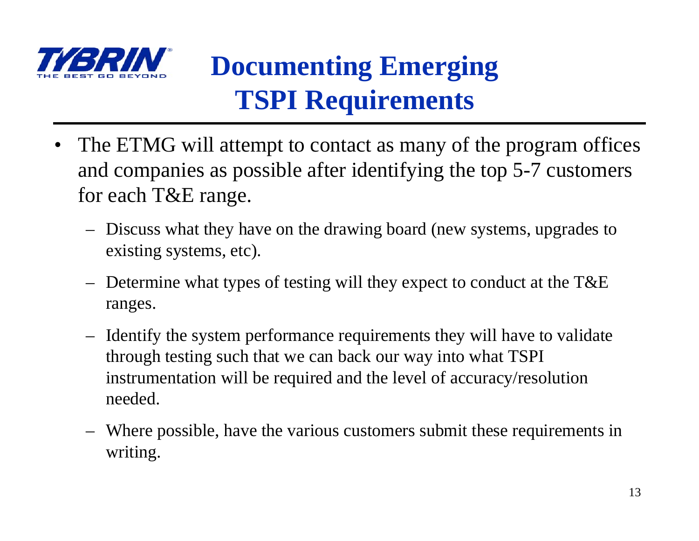

### **Documenting Emerging TSPI Requirements**

- • The ETMG will attempt to contact as many of the program offices and companies as possible after identifying the top 5-7 customers for each T&E range.
	- Discuss what they have on the drawing board (new systems, upgrades to existing systems, etc).
	- Determine what types of testing will they expect to conduct at the T&E ranges.
	- Identify the system performance requirements they will have to validate through testing such that we can back our way into what TSPI instrumentation will be required and the level of accuracy/resolution needed.
	- Where possible, have the various customers submit these requirements in writing.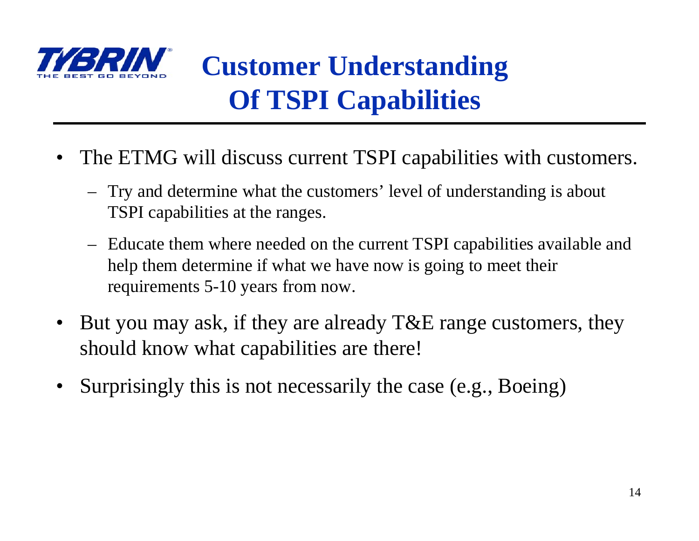

### **Customer Understanding Of TSPI Capabilities**

- • The ETMG will discuss current TSPI capabilities with customers.
	- Try and determine what the customers' level of understanding is about TSPI capabilities at the ranges.
	- Educate them where needed on the current TSPI capabilities available and help them determine if what we have now is going to meet their requirements 5-10 years from now.
- • But you may ask, if they are already T&E range customers, they should know what capabilities are there!
- •Surprisingly this is not necessarily the case (e.g., Boeing)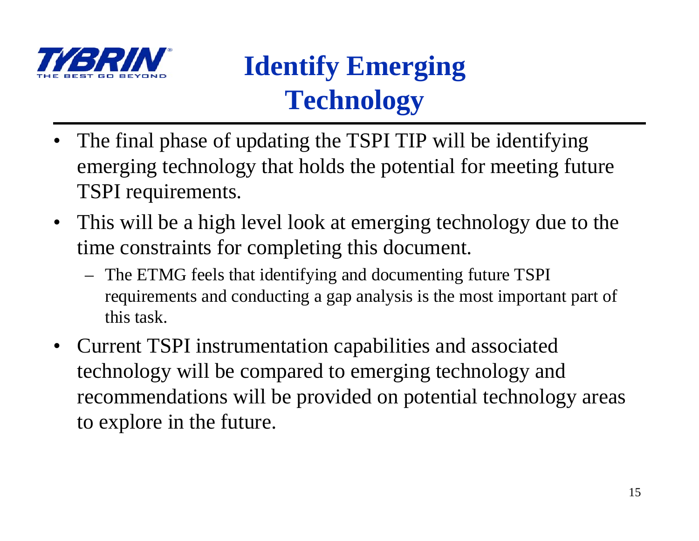

#### **Identify Emerging Technology**

- • The final phase of updating the TSPI TIP will be identifying emerging technology that holds the potential for meeting future TSPI requirements.
- This will be a high level look at emerging technology due to the time constraints for completing this document.
	- The ETMG feels that identifying and documenting future TSPI requirements and conducting a gap analysis is the most important part of this task.
- Current TSPI instrumentation capabilities and associated technology will be compared to emerging technology and recommendations will be provided on potential technology areas to explore in the future.